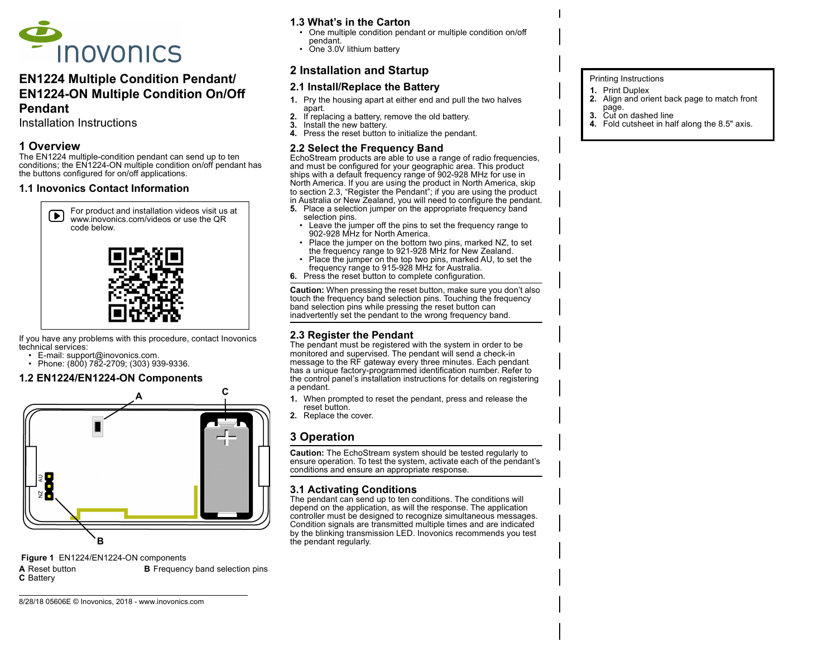

# EN1224 Multiple Condition Pendant/ EN1224-ON Multiple Condition On/Off Pendant

Installation Instructions

## 1 Overview

The EN1224 multiple-condition pendant can send up to ten conditions; the EN1224-ON multiple condition on/off pendant has the buttons configured for on/off applications.

#### 1.1 Inovonics Contact Information



If you have any problems with this procedure, contact Inovonics technical services:

- E-mail: support@inovonics.com.
- Phone:  $(800)$  782-2709:  $(303)$  939-9336.

## 1.2 EN1224/EN1224-ON Components



Figure 1 EN1224/EN1224-ON components

8/28/18 05606E © Inovonics, 2018 - www.inovonics.com

C Battery

**A** Reset button **B** Frequency band selection pins

## 1.3 What's in the Carton

- One multiple condition pendant or multiple condition on/off pendant.
- One 3.0V lithium battery

## 2 Installation and Startup

## 2.1 Install/Replace the Battery

- 1. Pry the housing apart at either end and pull the two halves apart.
- 2. If replacing a battery, remove the old battery.<br>3. Install the new battery
- Install the new battery.
- 4. Press the reset button to initialize the pendant.

#### 2.2 Select the Frequency Band

EchoStream products are able to use a range of radio frequencies, and must be configured for your geographic area. This product ships with a default frequency range of 902-928 MHz for use in North America. If you are using the product in North America, skip to section 2.3, "Register the Pendant"; if you are using the product in Australia or New Zealand, you will need to configure the pendant.

- **5.** Place a selection jumper on the appropriate frequency band selection pins.
	- Leave the jumper off the pins to set the frequency range to 902-928 MHz for North America.
	- Place the jumper on the bottom two pins, marked NZ, to set the frequency range to 921-928 MHz for New Zealand.
	- Place the jumper on the top two pins, marked AU, to set the frequency range to 915-928 MHz for Australia.
- 6. Press the reset button to complete configuration.

Caution: When pressing the reset button, make sure you don't also touch the frequency band selection pins. Touching the frequency band selection pins while pressing the reset button can inadvertently set the pendant to the wrong frequency band.

## 2.3 Register the Pendant

The pendant must be registered with the system in order to be monitored and supervised. The pendant will send a check-in message to the RF gateway every three minutes. Each pendant has a unique factory-programmed identification number. Refer to the control panel's installation instructions for details on registering a pendant.

- 1. When prompted to reset the pendant, press and release the reset button.
- 2. Replace the cover.

# 3 Operation

Caution: The EchoStream system should be tested regularly to ensure operation. To test the system, activate each of the pendant's conditions and ensure an appropriate response.

## 3.1 Activating Conditions

The pendant can send up to ten conditions. The conditions will depend on the application, as will the response. The application controller must be designed to recognize simultaneous messages. Condition signals are transmitted multiple times and are indicated by the blinking transmission LED. Inovonics recommends you test the pendant regularly.

#### Printing Instructions

- 1. Print Duplex
- 2. Align and orient back page to match front
- page.
- 3. Cut on dashed line 4. Fold cutsheet in half along the 8.5" axis.